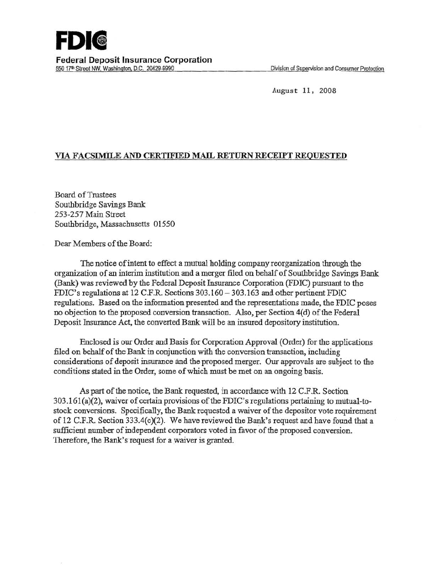

August 11, 2008

## VIA FACSIMiLE AND CERTIFIED MAIL RETURN RECEIPT REQUESTED

Board ofTrustees Southbridge Savings Bank 253-257 Main Street Southbridge, Massachusetts 01550

Dear Members of the Board:

The notice of intent to effect a mutual holding company reorganization through the organization of an interim institution and a merger filed on behalf of Southbridge Savings Bank (Bank) was reviewed by the Federal Deposit Insurance Corporation (FDIC) pursuant to the FDIC's regulations at 12 C.F.R Sections 303.160 - 303.163 and other pertinent FDIC regulations. Based on the information presented and the representations made, the FDIC poses no objection to the proposed conversion transaction. Also, per Section 4(d) of the Federal Deposit Insurance Act, the converted Bank will be an insured depository institution.

Enclosed is our Order and Basis for Corporation Approval (Order) for the applications filed on behalf of the Bank in conjunction with the conversion transaction, including considerations of deposit insurance and the proposed merger. Our approvals are subject to the conditions stated in the Order, some of which must be met on an ongoing basis.

As part of the notice, the Bank requested, in accordance with 12 C.F.R Section 303.161(a)(2), waiver of certain provisions of the FDIC's regulations pertaining to mutual-tostock conversions. Specifically, the Bank requested a waiver of the depositor vote requirement of 12 C.F.R Section 333.4(c)(2). We have reviewed the Bank's request and have found that a sufficient number of independent corporators voted in favor of the proposed conversion. Therefore, the Bank's request for a waiver is granted.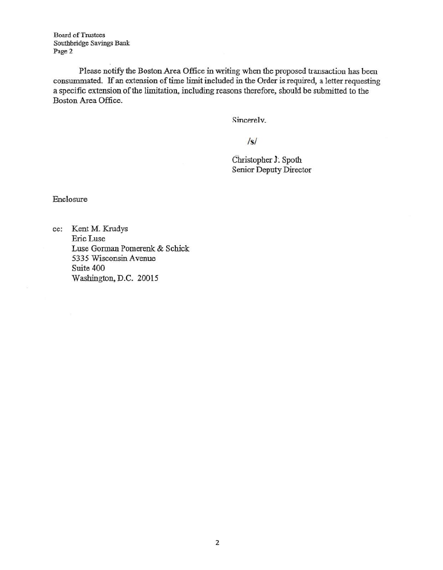Board of Trustees Southbridge Savings Bank Page 2

Please notify the Boston Area Office in writing when the proposed transaction has been consummated. If an extension of time limit included in the Order is required, a letter requesting a specific extension of the limitation, including reasons therefore, should be submitted to the Boston Area Office.

Sincerely.

*Is/* 

Christopher 1: Spoth Senior Deputy Director

Enclosure

cc: Kent M. Krudys EricLuse Luse Gorman Pomerenk & Schick 5335 Wisconsin Avenue Suite 400 Washington, D.C. 20015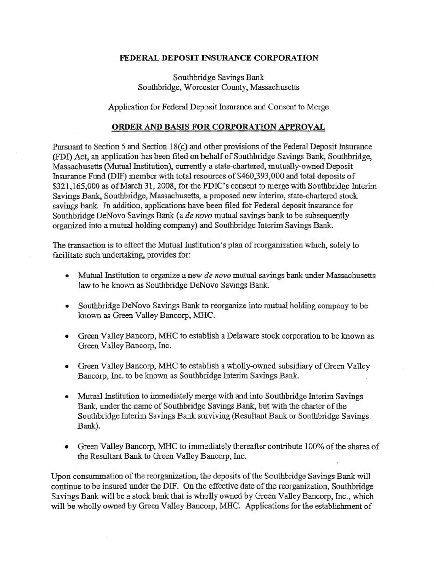## FEDERAL DEPOSIT INSURANCE CORPORATION

## Southbridge Savings Bank Southbridge, Worcester County, Massachusetts

Application for Federal Deposit Insurance and Consent to Merge

## ORDER AND BASIS FOR CORPORATION APPROVAL

Pursuant to Section 5 and Section 18(c) and other provisions of the Federal Deposit Insurance (FDI) Act, an application has been filed on behalf of Southbridge Savings Bank, Southbridge, Massachusetts (Mutual Institution), currently a state-chartered, mutually-owned Deposit Insurance Fund (DIF) member with total resources of\$460,393,000 and total deposits of \$321,165,000 as of March 31, 2008, for the FDIC's consent to merge with Southbridge Interim Savings Bank, Southbridge, Massachusetts, a proposed new interim, state-chartered stock savings bank. In addition, applications have been filed for Federal deposit insurance for Southbridge DeNovo Savings Bank (a *de novo* mutual savings bank to be subsequently organized into a mutual holding company) and Southbridge Interim Savings Bank.

The transaction is to effect the Mutual Institution's plan of reorganization which, solely to facilitate such undertaking, provides for:

- Mutual Institution to organize a new *de novo* mutual savings bank under Massachusetts law to be known as Southbridge DeNovo Savings Bank.
- Southbridge DeNovo Savings Bank to reorganize into mutual holding company to be known as Green Valley Bancorp, MHC.
- Green Valley Bancorp, MHC to establish a Delaware stock corporation to be known as Green Valley Bancorp, Inc.
- Green Valley Baricorp, MHC to establish a wholly-owned subsidiary of Green Valley Bancorp, Inc. to be known as Southbridge Interim Savings Bank.
- Mutual Institution to immediately merge with and into Southbridge Interim Savings Bank, under the name of Southbridge Savings Bank, but with the charter of the Southbridge Interim Savings Bank surviving (Resultant Bank or Southbridge Savings Bank).
- Green Valley Bancorp, MHC to immediately thereafter contribute 100% of the shares of the Resultant Bank to Green Valley Bancorp, Inc.

Upon constunmation of the reorganization, the deposits of the Southbridge Savings Bank will continue to be insured under the DIF. On the effective date of the reorganization, Southbridge Savings Bank will be a stock bank that is wholly owned by Green Valley Bancorp, Inc., which will be wholly owned by Green Valley Bancorp, MHC. Applications for the establishment of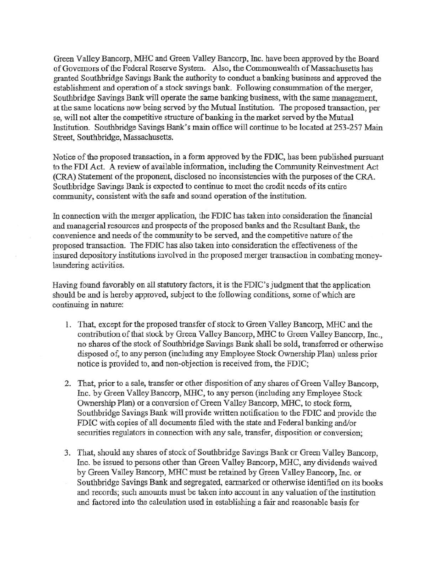Green Valley Bancorp, MHC and Green Valley Bancorp, Inc. have been approved by the Board of Governors of the Federal Reserve System. Also, the Commonwealth of Massachusetts has granted Southbridge Savings Bank the authority to conduct a banking business and approved the establishment and operation of a stock savings bank. Following consummation of the merger, Southbridge Savings Bank will operate the same banking business, with the same management, at 'the same locations now being served by the Mutual Institution. The proposed transaction, per se, will not alter the competitive structure of banking in the market served by the Mutual Institution. Southbridge Savings Bank's main office will continue to be located at 253-257 Main Street, Southbridge, Massachusetts.

Notice of the proposed transaction, in a form approved by the FDIC, bas been published pursuant to the FDI Act. A review of available information, including the Community Reinvestment Act (CRA) Statement of the proponent, disclosed no inconsistencies with the purposes of the CRA. Southbridge Savings Bank is expected to continue to meet the credit needs of its entire community, consistent with the safe and sound operation of the institution.

In connection with the merger application, the FDIC bas taken into consideration the financial and managerial resources and prospects of the proposed banks and the Resultant Bank, the convenience and needs of the community to be served, and the competitive nature of the proposed transaction. The FDIC has also taken into-consideration the effectiveness of the insured depository institutions involved in the proposed merger transaction in combating moneylaundering activities.

Having found favorably on all statutory factors, it is the FDIC's judgment that the application should be and is hereby approved, subject to the following conditions, some of which are continuing in nature:

- 1. That, except for the proposed transfer of stock to Green Valley Bancorp, MHC and the contribution of that stock by Green Valley Bancorp, MHC to Green Valley Bancorp, fuc., no shares of the stock of Southbridge Savings Bank shall be sold, transferred or otherwise disposed of, to any person (including any Employee Stock Ownership Plan) unless prior notice is provided to, and non-objection is received from, the FDIC;
- 2. That, prior to a sale, transfer or other disposition of any shares of Green Valley Bancorp, Inc. by Green Valley Bancorp, MHC, to any person (including any Employee Stock Ownership Plan) or a conversion of Green Valley Bancorp, MHC, to stock form, Southbridge Savings Bank will provide written notification to the FDIC and provide the FDIC with copies of all documents filed with the state and Federal banking and/or securities regulators in connection with any sale, transfer, disposition or conversion;
- 3. That, should any shares of stock of Southbridge Savings Bank or Green Valley Bancorp, fuc. be issued to persons other than Green Valley Bancorp, MHC, any dividends waived by Green Valley Bancorp, MHC must be retained by Green Valley Bancorp, Inc. or Southbridge Savings Bank and segregated, earmarked or otherwise identified on its books and records; such amounts must be taken into account in any valuation of the institution and factored into the calculation used in establishing a fair and reasonable basis for